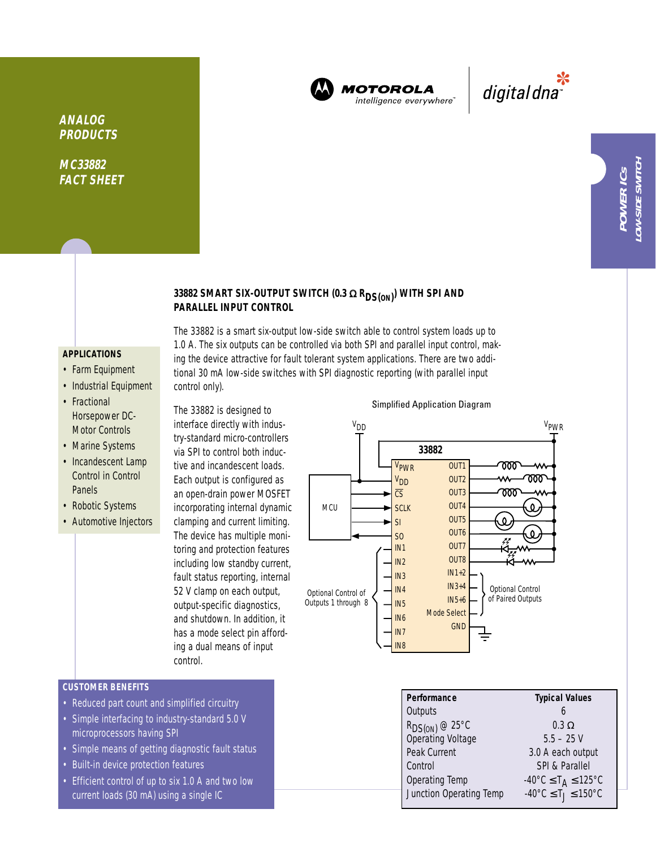

**MOTOROLA** intelligence everywhere<sup>®</sup>

\*<br>"digital dna

# **ANALOG PRODUCTS**

**MC33882 FACT SHEET**

# **33882 SMART SIX-OUTPUT SWITCH (0.3** <sup>Ω</sup> **RDS(ON) ) WITH SPI AND PARALLEL INPUT CONTROL**

#### **APPLICATIONS**

- Farm Equipment
- Industrial Equipment
- Fractional Horsepower DC-Motor Controls
- Marine Systems
- Incandescent Lamp Control in Control Panels
- Robotic Systems
- Automotive Injectors

The 33882 is a smart six-output low-side switch able to control system loads up to 1.0 A. The six outputs can be controlled via both SPI and parallel input control, making the device attractive for fault tolerant system applications. There are two additional 30 mA low-side switches with SPI diagnostic reporting (with parallel input control only).

The 33882 is designed to interface directly with industry-standard micro-controllers via SPI to control both inductive and incandescent loads. Each output is configured as an open-drain power MOSFET incorporating internal dynamic clamping and current limiting. The device has multiple monitoring and protection features including low standby current, fault status reporting, internal 52 V clamp on each output, output-specific diagnostics, and shutdown. In addition, it has a mode select pin affording a dual means of input control.



Simplified Application Diagram

Operating Temp  $-40^{\circ}$ C  $\leq$  T<sub>A</sub>  $\leq$  125°C<br>Junction Operating Temp  $-40^{\circ}$ C  $\leq$  T<sub>J</sub>  $\leq$  150°C

Junction Operating Temp

### **CUSTOMER BENEFITS**

- Reduced part count and simplified circuitry
- Simple interfacing to industry-standard 5.0 V microprocessors having SPI
- Simple means of getting diagnostic fault status
- Built-in device protection features
- Efficient control of up to six 1.0 A and two low current loads (30 mA) using a single IC